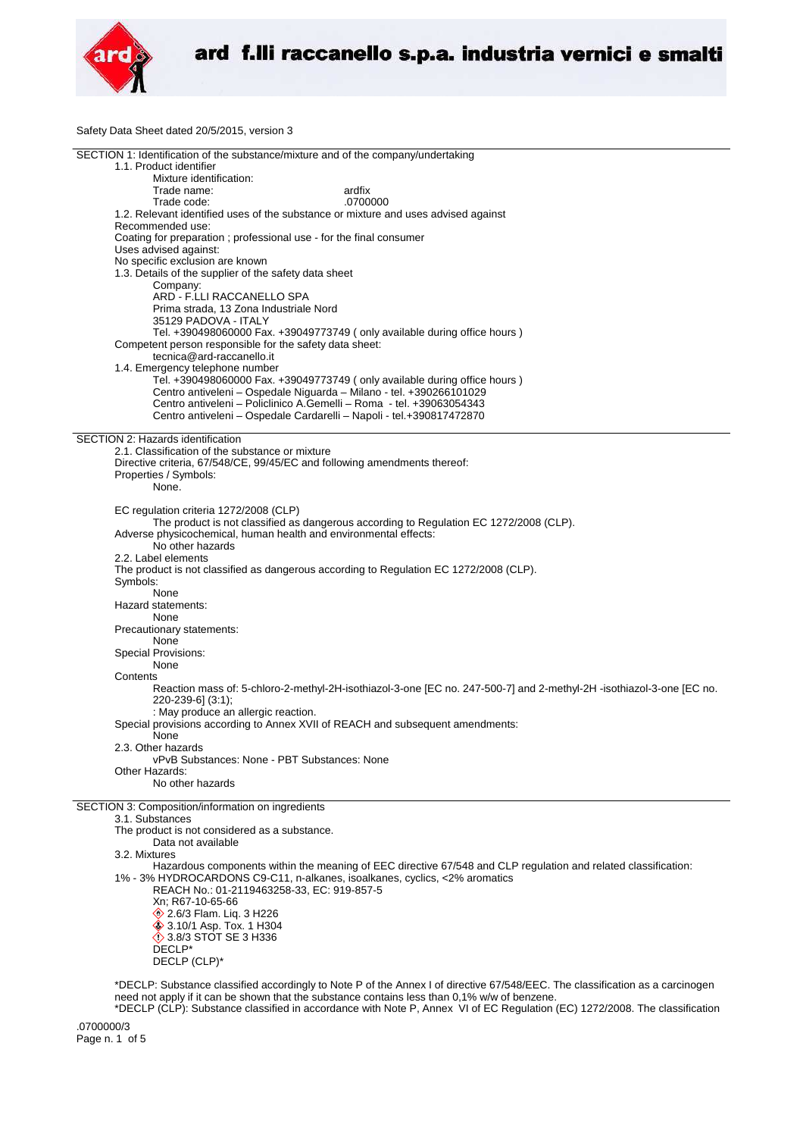

Safety Data Sheet dated 20/5/2015, version 3

| SECTION 1: Identification of the substance/mixture and of the company/undertaking<br>1.1. Product identifier         |  |
|----------------------------------------------------------------------------------------------------------------------|--|
|                                                                                                                      |  |
|                                                                                                                      |  |
|                                                                                                                      |  |
| Mixture identification:                                                                                              |  |
| ardfix<br>Trade name:                                                                                                |  |
|                                                                                                                      |  |
| .0700000<br>Trade code:                                                                                              |  |
| 1.2. Relevant identified uses of the substance or mixture and uses advised against                                   |  |
| Recommended use:                                                                                                     |  |
|                                                                                                                      |  |
| Coating for preparation ; professional use - for the final consumer                                                  |  |
| Uses advised against:                                                                                                |  |
|                                                                                                                      |  |
| No specific exclusion are known                                                                                      |  |
| 1.3. Details of the supplier of the safety data sheet                                                                |  |
| Company:                                                                                                             |  |
|                                                                                                                      |  |
| ARD - F.LLI RACCANELLO SPA                                                                                           |  |
| Prima strada, 13 Zona Industriale Nord                                                                               |  |
| 35129 PADOVA - ITALY                                                                                                 |  |
|                                                                                                                      |  |
| Tel. +390498060000 Fax. +39049773749 (only available during office hours)                                            |  |
| Competent person responsible for the safety data sheet:                                                              |  |
|                                                                                                                      |  |
| tecnica@ard-raccanello.it                                                                                            |  |
| 1.4. Emergency telephone number                                                                                      |  |
| Tel. +390498060000 Fax. +39049773749 (only available during office hours )                                           |  |
|                                                                                                                      |  |
| Centro antiveleni - Ospedale Niguarda - Milano - tel. +390266101029                                                  |  |
| Centro antiveleni – Policlinico A.Gemelli – Roma - tel. +39063054343                                                 |  |
| Centro antiveleni - Ospedale Cardarelli - Napoli - tel.+390817472870                                                 |  |
|                                                                                                                      |  |
|                                                                                                                      |  |
| SECTION 2: Hazards identification                                                                                    |  |
| 2.1. Classification of the substance or mixture                                                                      |  |
| Directive criteria, 67/548/CE, 99/45/EC and following amendments thereof:                                            |  |
|                                                                                                                      |  |
| Properties / Symbols:                                                                                                |  |
| None.                                                                                                                |  |
|                                                                                                                      |  |
|                                                                                                                      |  |
| EC regulation criteria 1272/2008 (CLP)                                                                               |  |
| The product is not classified as dangerous according to Regulation EC 1272/2008 (CLP).                               |  |
| Adverse physicochemical, human health and environmental effects:                                                     |  |
|                                                                                                                      |  |
| No other hazards                                                                                                     |  |
| 2.2. Label elements                                                                                                  |  |
|                                                                                                                      |  |
| The product is not classified as dangerous according to Regulation EC 1272/2008 (CLP).                               |  |
| Symbols:                                                                                                             |  |
| None                                                                                                                 |  |
|                                                                                                                      |  |
| Hazard statements:                                                                                                   |  |
|                                                                                                                      |  |
| None                                                                                                                 |  |
|                                                                                                                      |  |
| Precautionary statements:                                                                                            |  |
| None                                                                                                                 |  |
|                                                                                                                      |  |
| Special Provisions:                                                                                                  |  |
| None                                                                                                                 |  |
| Contents                                                                                                             |  |
|                                                                                                                      |  |
| Reaction mass of: 5-chloro-2-methyl-2H-isothiazol-3-one [EC no. 247-500-7] and 2-methyl-2H -isothiazol-3-one [EC no. |  |
| 220-239-6] (3:1);                                                                                                    |  |
| : May produce an allergic reaction.                                                                                  |  |
|                                                                                                                      |  |
| Special provisions according to Annex XVII of REACH and subsequent amendments:                                       |  |
| None                                                                                                                 |  |
| 2.3. Other hazards                                                                                                   |  |
| vPvB Substances: None - PBT Substances: None                                                                         |  |
|                                                                                                                      |  |
| Other Hazards:                                                                                                       |  |
| No other hazards                                                                                                     |  |
|                                                                                                                      |  |
|                                                                                                                      |  |
| SECTION 3: Composition/information on ingredients                                                                    |  |
| 3.1. Substances                                                                                                      |  |
| The product is not considered as a substance.                                                                        |  |
| Data not available                                                                                                   |  |
|                                                                                                                      |  |
| 3.2. Mixtures                                                                                                        |  |
| Hazardous components within the meaning of EEC directive 67/548 and CLP regulation and related classification:       |  |
| 1% - 3% HYDROCARDONS C9-C11, n-alkanes, isoalkanes, cyclics, <2% aromatics                                           |  |
|                                                                                                                      |  |
| REACH No.: 01-2119463258-33, EC: 919-857-5                                                                           |  |
| Xn; R67-10-65-66                                                                                                     |  |
| 2.6/3 Flam. Lig. 3 H226                                                                                              |  |
|                                                                                                                      |  |
| ♦ 3.10/1 Asp. Tox. 1 H304<br><b>♦ 3.8/3 STOT SE 3 H336</b>                                                           |  |

DECLP\* DECLP (CLP)\*

\*DECLP: Substance classified accordingly to Note P of the Annex I of directive 67/548/EEC. The classification as a carcinogen need not apply if it can be shown that the substance contains less than 0,1% w/w of benzene.

\*DECLP (CLP): Substance classified in accordance with Note P, Annex VI of EC Regulation (EC) 1272/2008. The classification

.0700000/3 Page n. 1 of 5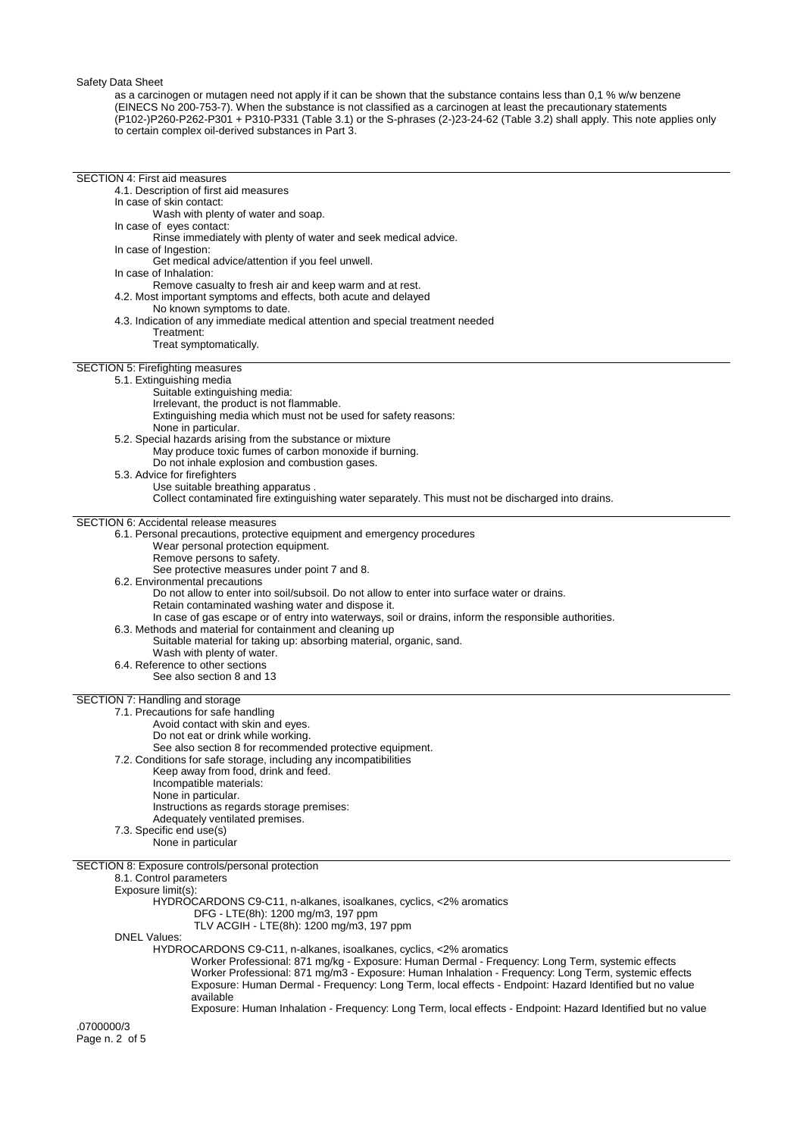Safety Data Sheet

as a carcinogen or mutagen need not apply if it can be shown that the substance contains less than 0,1 % w/w benzene (EINECS No 200-753-7). When the substance is not classified as a carcinogen at least the precautionary statements (P102-)P260-P262-P301 + P310-P331 (Table 3.1) or the S-phrases (2-)23-24-62 (Table 3.2) shall apply. This note applies only to certain complex oil-derived substances in Part 3.

| <b>SECTION 4: First aid measures</b>                                                                                      |  |
|---------------------------------------------------------------------------------------------------------------------------|--|
| 4.1. Description of first aid measures                                                                                    |  |
| In case of skin contact:                                                                                                  |  |
| Wash with plenty of water and soap.                                                                                       |  |
| In case of eyes contact:                                                                                                  |  |
| Rinse immediately with plenty of water and seek medical advice.                                                           |  |
| In case of Ingestion:                                                                                                     |  |
| Get medical advice/attention if you feel unwell.                                                                          |  |
| In case of Inhalation:                                                                                                    |  |
| Remove casualty to fresh air and keep warm and at rest.                                                                   |  |
| 4.2. Most important symptoms and effects, both acute and delayed                                                          |  |
| No known symptoms to date.<br>4.3. Indication of any immediate medical attention and special treatment needed             |  |
| Treatment:                                                                                                                |  |
| Treat symptomatically.                                                                                                    |  |
|                                                                                                                           |  |
| SECTION 5: Firefighting measures                                                                                          |  |
| 5.1. Extinguishing media                                                                                                  |  |
| Suitable extinguishing media:                                                                                             |  |
| Irrelevant, the product is not flammable.                                                                                 |  |
| Extinguishing media which must not be used for safety reasons:                                                            |  |
| None in particular.                                                                                                       |  |
| 5.2. Special hazards arising from the substance or mixture                                                                |  |
| May produce toxic fumes of carbon monoxide if burning.                                                                    |  |
| Do not inhale explosion and combustion gases.                                                                             |  |
| 5.3. Advice for firefighters                                                                                              |  |
| Use suitable breathing apparatus.                                                                                         |  |
| Collect contaminated fire extinguishing water separately. This must not be discharged into drains.                        |  |
|                                                                                                                           |  |
| <b>SECTION 6: Accidental release measures</b>                                                                             |  |
| 6.1. Personal precautions, protective equipment and emergency procedures                                                  |  |
| Wear personal protection equipment.                                                                                       |  |
| Remove persons to safety.                                                                                                 |  |
| See protective measures under point 7 and 8.                                                                              |  |
| 6.2. Environmental precautions                                                                                            |  |
| Do not allow to enter into soil/subsoil. Do not allow to enter into surface water or drains.                              |  |
| Retain contaminated washing water and dispose it.                                                                         |  |
| In case of gas escape or of entry into waterways, soil or drains, inform the responsible authorities.                     |  |
| 6.3. Methods and material for containment and cleaning up                                                                 |  |
| Suitable material for taking up: absorbing material, organic, sand.                                                       |  |
| Wash with plenty of water.                                                                                                |  |
| 6.4. Reference to other sections                                                                                          |  |
| See also section 8 and 13                                                                                                 |  |
|                                                                                                                           |  |
| SECTION 7: Handling and storage                                                                                           |  |
| 7.1. Precautions for safe handling                                                                                        |  |
| Avoid contact with skin and eyes.                                                                                         |  |
| Do not eat or drink while working.                                                                                        |  |
| See also section 8 for recommended protective equipment.                                                                  |  |
| 7.2. Conditions for safe storage, including any incompatibilities                                                         |  |
| Keep away from food, drink and feed.                                                                                      |  |
| Incompatible materials:                                                                                                   |  |
| None in particular.                                                                                                       |  |
| Instructions as regards storage premises:                                                                                 |  |
| Adequately ventilated premises.                                                                                           |  |
| 7.3. Specific end use(s)                                                                                                  |  |
| None in particular                                                                                                        |  |
|                                                                                                                           |  |
| SECTION 8: Exposure controls/personal protection                                                                          |  |
|                                                                                                                           |  |
| 8.1. Control parameters                                                                                                   |  |
| Exposure limit(s):                                                                                                        |  |
| HYDROCARDONS C9-C11, n-alkanes, isoalkanes, cyclics, <2% aromatics                                                        |  |
| DFG - LTE(8h): 1200 mg/m3, 197 ppm                                                                                        |  |
| TLV ACGIH - LTE(8h): 1200 mg/m3, 197 ppm                                                                                  |  |
| <b>DNEL Values:</b>                                                                                                       |  |
| HYDROCARDONS C9-C11, n-alkanes, isoalkanes, cyclics, <2% aromatics                                                        |  |
| Worker Professional: 871 mg/kg - Exposure: Human Dermal - Frequency: Long Term, systemic effects                          |  |
| Worker Professional: 871 mg/m3 - Exposure: Human Inhalation - Frequency: Long Term, systemic effects                      |  |
| Exposure: Human Dermal - Frequency: Long Term, local effects - Endpoint: Hazard Identified but no value                   |  |
| available                                                                                                                 |  |
| Exposure: Human Inhalation - Frequency: Long Term, local effects - Endpoint: Hazard Identified but no value<br>.0700000/3 |  |

Page n. 2 of 5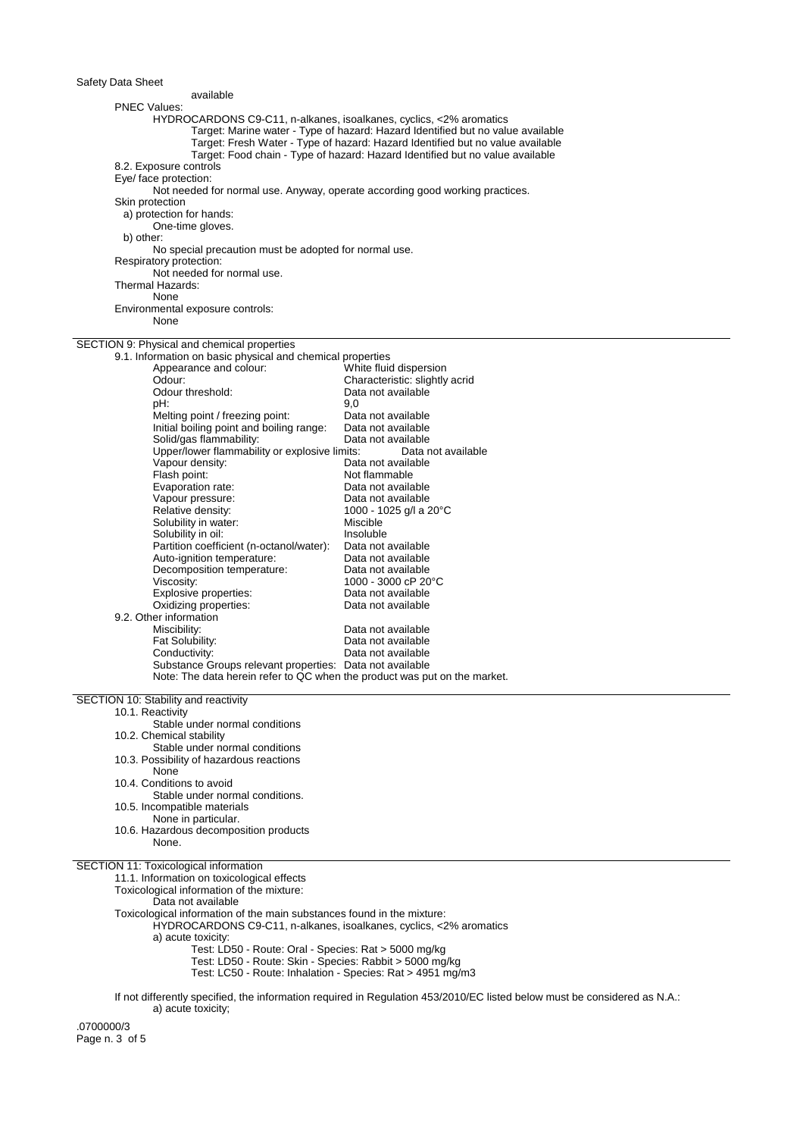## Safety Data Sheet

| Safety Data Sheet                                                            |                                                                                                                           |
|------------------------------------------------------------------------------|---------------------------------------------------------------------------------------------------------------------------|
| available                                                                    |                                                                                                                           |
| <b>PNEC Values:</b>                                                          |                                                                                                                           |
| HYDROCARDONS C9-C11, n-alkanes, isoalkanes, cyclics, <2% aromatics           |                                                                                                                           |
|                                                                              | Target: Marine water - Type of hazard: Hazard Identified but no value available                                           |
|                                                                              | Target: Fresh Water - Type of hazard: Hazard Identified but no value available                                            |
|                                                                              | Target: Food chain - Type of hazard: Hazard Identified but no value available                                             |
| 8.2. Exposure controls                                                       |                                                                                                                           |
| Eye/ face protection:                                                        |                                                                                                                           |
| Not needed for normal use. Anyway, operate according good working practices. |                                                                                                                           |
| Skin protection                                                              |                                                                                                                           |
| a) protection for hands:                                                     |                                                                                                                           |
| One-time gloves.                                                             |                                                                                                                           |
| b) other:                                                                    |                                                                                                                           |
| No special precaution must be adopted for normal use.                        |                                                                                                                           |
| Respiratory protection:                                                      |                                                                                                                           |
| Not needed for normal use.                                                   |                                                                                                                           |
| Thermal Hazards:                                                             |                                                                                                                           |
| None                                                                         |                                                                                                                           |
| Environmental exposure controls:                                             |                                                                                                                           |
| None                                                                         |                                                                                                                           |
|                                                                              |                                                                                                                           |
| SECTION 9: Physical and chemical properties                                  |                                                                                                                           |
|                                                                              |                                                                                                                           |
| 9.1. Information on basic physical and chemical properties                   |                                                                                                                           |
| Appearance and colour:                                                       | White fluid dispersion                                                                                                    |
| Odour:                                                                       | Characteristic: slightly acrid                                                                                            |
| Odour threshold:                                                             | Data not available                                                                                                        |
| pH:                                                                          | 9,0                                                                                                                       |
| Melting point / freezing point:                                              | Data not available                                                                                                        |
| Initial boiling point and boiling range:                                     | Data not available                                                                                                        |
| Solid/gas flammability:                                                      | Data not available                                                                                                        |
| Upper/lower flammability or explosive limits:                                | Data not available                                                                                                        |
| Vapour density:                                                              | Data not available                                                                                                        |
| Flash point:                                                                 | Not flammable                                                                                                             |
| Evaporation rate:                                                            | Data not available                                                                                                        |
| Vapour pressure:                                                             | Data not available                                                                                                        |
| Relative density:                                                            | 1000 - 1025 g/l a 20°C                                                                                                    |
| Solubility in water:                                                         | Miscible                                                                                                                  |
| Solubility in oil:                                                           | Insoluble                                                                                                                 |
| Partition coefficient (n-octanol/water):                                     | Data not available                                                                                                        |
| Auto-ignition temperature:                                                   | Data not available                                                                                                        |
| Decomposition temperature:                                                   | Data not available                                                                                                        |
| Viscosity:                                                                   | 1000 - 3000 cP 20°C                                                                                                       |
| Explosive properties:                                                        | Data not available                                                                                                        |
| Oxidizing properties:                                                        | Data not available                                                                                                        |
| 9.2. Other information                                                       |                                                                                                                           |
| Miscibility:                                                                 | Data not available                                                                                                        |
|                                                                              |                                                                                                                           |
| Fat Solubility:                                                              | Data not available                                                                                                        |
| Conductivity:                                                                | Data not available                                                                                                        |
| Substance Groups relevant properties: Data not available                     |                                                                                                                           |
| Note: The data herein refer to QC when the product was put on the market.    |                                                                                                                           |
|                                                                              |                                                                                                                           |
| SECTION 10: Stability and reactivity                                         |                                                                                                                           |
| 10.1. Reactivity                                                             |                                                                                                                           |
| Stable under normal conditions                                               |                                                                                                                           |
| 10.2. Chemical stability                                                     |                                                                                                                           |
| Stable under normal conditions                                               |                                                                                                                           |
| 10.3. Possibility of hazardous reactions                                     |                                                                                                                           |
| None                                                                         |                                                                                                                           |
| 10.4. Conditions to avoid                                                    |                                                                                                                           |
| Stable under normal conditions.                                              |                                                                                                                           |
| 10.5. Incompatible materials                                                 |                                                                                                                           |
| None in particular.                                                          |                                                                                                                           |
| 10.6. Hazardous decomposition products                                       |                                                                                                                           |
| None.                                                                        |                                                                                                                           |
|                                                                              |                                                                                                                           |
| SECTION 11: Toxicological information                                        |                                                                                                                           |
| 11.1. Information on toxicological effects                                   |                                                                                                                           |
| Toxicological information of the mixture:                                    |                                                                                                                           |
| Data not available                                                           |                                                                                                                           |
| Toxicological information of the main substances found in the mixture:       |                                                                                                                           |
| HYDROCARDONS C9-C11, n-alkanes, isoalkanes, cyclics, <2% aromatics           |                                                                                                                           |
| a) acute toxicity:                                                           |                                                                                                                           |
| Test: LD50 - Route: Oral - Species: Rat > 5000 mg/kg                         |                                                                                                                           |
| Test: LD50 - Route: Skin - Species: Rabbit > 5000 mg/kg                      |                                                                                                                           |
| Test: LC50 - Route: Inhalation - Species: Rat > 4951 mg/m3                   |                                                                                                                           |
|                                                                              |                                                                                                                           |
|                                                                              | If not differently specified, the information required in Regulation 453/2010/EC listed below must be considered as N.A.: |

a) acute toxicity;

.0700000/3 Page n. 3 of 5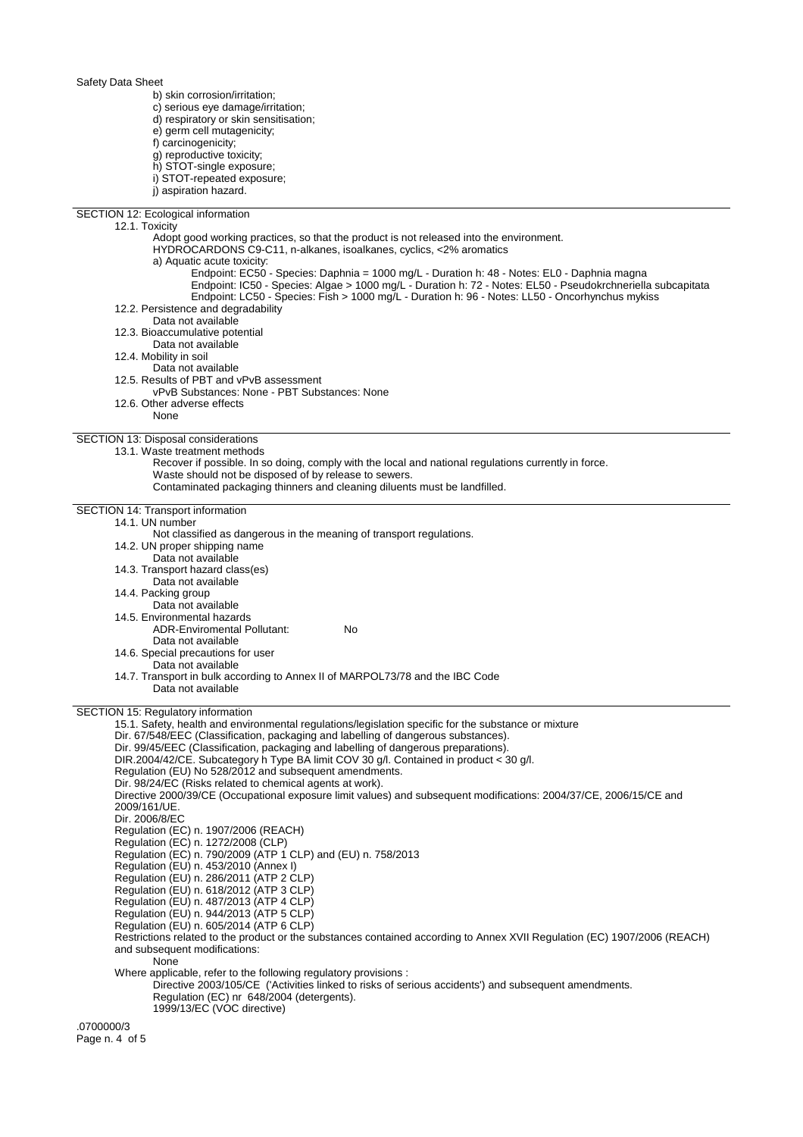Safety Data Sheet b) skin corrosion/irritation; c) serious eye damage/irritation; d) respiratory or skin sensitisation; e) germ cell mutagenicity; f) carcinogenicity; g) reproductive toxicity; h) STOT-single exposure; i) STOT-repeated exposure; j) aspiration hazard. SECTION 12: Ecological information 12.1. Toxicity Adopt good working practices, so that the product is not released into the environment. HYDROCARDONS C9-C11, n-alkanes, isoalkanes, cyclics, <2% aromatics a) Aquatic acute toxicity: Endpoint: EC50 - Species: Daphnia = 1000 mg/L - Duration h: 48 - Notes: EL0 - Daphnia magna Endpoint: IC50 - Species: Algae > 1000 mg/L - Duration h: 72 - Notes: EL50 - Pseudokrchneriella subcapitata Endpoint: LC50 - Species: Fish > 1000 mg/L - Duration h: 96 - Notes: LL50 - Oncorhynchus mykiss 12.2. Persistence and degradability Data not available 12.3. Bioaccumulative potential Data not available 12.4. Mobility in soil Data not available 12.5. Results of PBT and vPvB assessment vPvB Substances: None - PBT Substances: None 12.6. Other adverse effects None SECTION 13: Disposal considerations 13.1. Waste treatment methods Recover if possible. In so doing, comply with the local and national regulations currently in force. Waste should not be disposed of by release to sewers. Contaminated packaging thinners and cleaning diluents must be landfilled. SECTION 14: Transport information 14.1. UN number Not classified as dangerous in the meaning of transport regulations. 14.2. UN proper shipping name Data not available 14.3. Transport hazard class(es) Data not available 14.4. Packing group Data not available 14.5. Environmental hazards ADR-Enviromental Pollutant: No Data not available 14.6. Special precautions for user Data not available 14.7. Transport in bulk according to Annex II of MARPOL73/78 and the IBC Code Data not available SECTION 15: Regulatory information 15.1. Safety, health and environmental regulations/legislation specific for the substance or mixture Dir. 67/548/EEC (Classification, packaging and labelling of dangerous substances). Dir. 99/45/EEC (Classification, packaging and labelling of dangerous preparations). DIR.2004/42/CE. Subcategory h Type BA limit COV 30 g/l. Contained in product < 30 g/l. Regulation (EU) No 528/2012 and subsequent amendments. Dir. 98/24/EC (Risks related to chemical agents at work). Directive 2000/39/CE (Occupational exposure limit values) and subsequent modifications: 2004/37/CE, 2006/15/CE and 2009/161/UE. Dir. 2006/8/EC Regulation (EC) n. 1907/2006 (REACH) Regulation (EC) n. 1272/2008 (CLP) Regulation (EC) n. 790/2009 (ATP 1 CLP) and (EU) n. 758/2013 Regulation (EU) n. 453/2010 (Annex I) Regulation (EU) n. 286/2011 (ATP 2 CLP) Regulation (EU) n. 618/2012 (ATP 3 CLP) Regulation (EU) n. 487/2013 (ATP 4 CLP) Regulation (EU) n. 944/2013 (ATP 5 CLP) Regulation (EU) n. 605/2014 (ATP 6 CLP) Restrictions related to the product or the substances contained according to Annex XVII Regulation (EC) 1907/2006 (REACH) and subsequent modifications: None Where applicable, refer to the following regulatory provisions : Directive 2003/105/CE ('Activities linked to risks of serious accidents') and subsequent amendments. Regulation (EC) nr 648/2004 (detergents). 1999/13/EC (VOC directive)

.0700000/3 Page n. 4 of 5